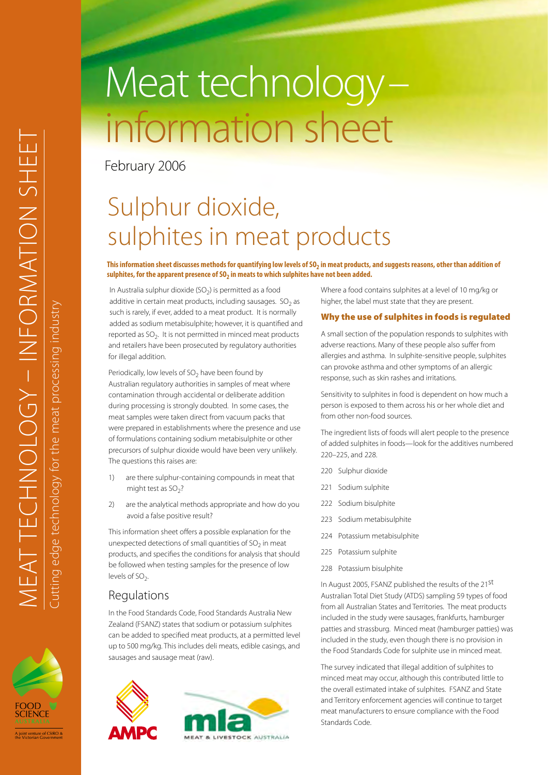# Meat technology– information sheet

February 2006

## Sulphur dioxide, sulphites in meat products

#### This information sheet discusses methods for quantifying low levels of SO<sub>2</sub> in meat products, and suggests reasons, other than addition of sulphites, for the apparent presence of SO<sub>2</sub> in meats to which sulphites have not been added.

In Australia sulphur dioxide  $(SO<sub>2</sub>)$  is permitted as a food additive in certain meat products, including sausages.  $SO<sub>2</sub>$  as such is rarely, if ever, added to a meat product. It is normally added as sodium metabisulphite; however, it is quantified and reported as  $SO<sub>2</sub>$ . It is not permitted in minced meat products and retailers have been prosecuted by regulatory authorities for illegal addition.

Periodically, low levels of  $SO<sub>2</sub>$  have been found by Australian regulatory authorities in samples of meat where contamination through accidental or deliberate addition during processing is strongly doubted. In some cases, the meat samples were taken direct from vacuum packs that were prepared in establishments where the presence and use of formulations containing sodium metabisulphite or other precursors of sulphur dioxide would have been very unlikely. The questions this raises are:

- 1) are there sulphur-containing compounds in meat that might test as  $SO<sub>2</sub>$ ?
- 2) are the analytical methods appropriate and how do you avoid a false positive result?

This information sheet offers a possible explanation for the unexpected detections of small quantities of  $SO<sub>2</sub>$  in meat products, and specifies the conditions for analysis that should be followed when testing samples for the presence of low levels of SO<sub>2</sub>.

### Regulations

In the Food Standards Code, Food Standards Australia New Zealand (FSANZ) states that sodium or potassium sulphites can be added to specified meat products, at a permitted level up to 500 mg/kg. This includes deli meats, edible casings, and sausages and sausage meat (raw).





Where a food contains sulphites at a level of 10 mg/kg or higher, the label must state that they are present.

#### Why the use of sulphites in foods is regulated

A small section of the population responds to sulphites with adverse reactions. Many of these people also suffer from allergies and asthma. In sulphite-sensitive people, sulphites can provoke asthma and other symptoms of an allergic response, such as skin rashes and irritations.

Sensitivity to sulphites in food is dependent on how much a person is exposed to them across his or her whole diet and from other non-food sources.

The ingredient lists of foods will alert people to the presence of added sulphites in foods—look for the additives numbered 220–225, and 228.

- 220 Sulphur dioxide
- 221 Sodium sulphite
- 222 Sodium bisulphite
- 223 Sodium metabisulphite
- 224 Potassium metabisulphite
- 225 Potassium sulphite
- 228 Potassium bisulphite

In August 2005, FSANZ published the results of the 21<sup>st</sup> Australian Total Diet Study (ATDS) sampling 59 types of food from all Australian States and Territories. The meat products included in the study were sausages, frankfurts, hamburger patties and strassburg. Minced meat (hamburger patties) was included in the study, even though there is no provision in the Food Standards Code for sulphite use in minced meat.

The survey indicated that illegal addition of sulphites to minced meat may occur, although this contributed little to the overall estimated intake of sulphites. FSANZ and State and Territory enforcement agencies will continue to target meat manufacturers to ensure compliance with the Food Standards Code.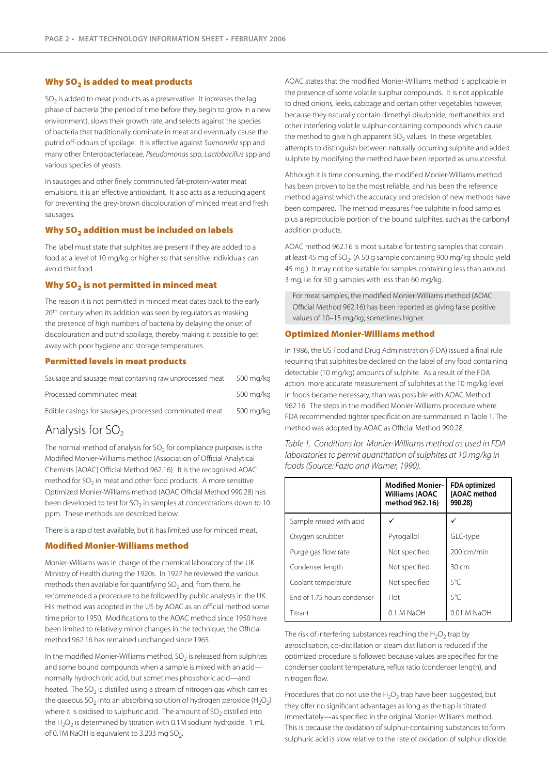#### Why  $SO<sub>2</sub>$  is added to meat products

 $SO<sub>2</sub>$  is added to meat products as a preservative. It increases the lag phase of bacteria (the period of time before they begin to grow in a new environment), slows their growth rate, and selects against the species of bacteria that traditionally dominate in meat and eventually cause the putrid off-odours of spoilage. It is effective against *Salmonella* spp and many other Enterobacteriaceae, *Pseudomonas* spp, *Lactobacillus* spp and various species of yeasts.

In sausages and other finely comminuted fat-protein-water meat emulsions, it is an effective antioxidant. It also acts as a reducing agent for preventing the grey-brown discolouration of minced meat and fresh sausages.

#### Why SO<sub>2</sub> addition must be included on labels

The label must state that sulphites are present if they are added to a food at a level of 10 mg/kg or higher so that sensitive individuals can avoid that food.

#### Why SO<sub>2</sub> is not permitted in minced meat

The reason it is not permitted in minced meat dates back to the early 20<sup>th</sup> century when its addition was seen by regulators as masking the presence of high numbers of bacteria by delaying the onset of discolouration and putrid spoilage, thereby making it possible to get away with poor hygiene and storage temperatures.

#### Permitted levels in meat products

| Sausage and sausage meat containing raw unprocessed meat | 500 mg/kg |
|----------------------------------------------------------|-----------|
| Processed comminuted meat                                | 500 mg/kg |
| Edible casings for sausages, processed comminuted meat   | 500 mg/kg |

#### Analysis for  $SO<sub>2</sub>$

The normal method of analysis for  $SO<sub>2</sub>$  for compliance purposes is the Modified Monier-Williams method (Association of Official Analytical Chemists [AOAC] Official Method 962.16). It is the recognised AOAC method for  $SO<sub>2</sub>$  in meat and other food products. A more sensitive Optimized Monier-Williams method (AOAC Official Method 990.28) has been developed to test for  $SO<sub>2</sub>$  in samples at concentrations down to 10 ppm. These methods are described below.

There is a rapid test available, but it has limited use for minced meat.

#### Modified Monier-Williams method

Monier-Williams was in charge of the chemical laboratory of the UK Ministry of Health during the 1920s. In 1927 he reviewed the various methods then available for quantifying  $SO<sub>2</sub>$  and, from them, he recommended a procedure to be followed by public analysts in the UK. His method was adopted in the US by AOAC as an official method some time prior to 1950. Modifications to the AOAC method since 1950 have been limited to relatively minor changes in the technique; the Official method 962.16 has remained unchanged since 1965.

In the modified Monier-Williams method,  $SO<sub>2</sub>$  is released from sulphites and some bound compounds when a sample is mixed with an acid normally hydrochloric acid, but sometimes phosphoric acid—and heated. The  $SO<sub>2</sub>$  is distilled using a stream of nitrogen gas which carries the gaseous SO<sub>2</sub> into an absorbing solution of hydrogen peroxide (H<sub>2</sub>O<sub>2</sub>) where it is oxidised to sulphuric acid. The amount of  $SO<sub>2</sub>$  distilled into the  $H_2O_2$  is determined by titration with 0.1M sodium hydroxide. 1 mL of 0.1M NaOH is equivalent to 3.203 mg  $SO_2$ .

AOAC states that the modified Monier-Williams method is applicable in the presence of some volatile sulphur compounds. It is not applicable to dried onions, leeks, cabbage and certain other vegetables however, because they naturally contain dimethyl-disulphide, methanethiol and other interfering volatile sulphur-containing compounds which cause the method to give high apparent  $SO<sub>2</sub>$  values. In these vegetables, attempts to distinguish between naturally occurring sulphite and added sulphite by modifying the method have been reported as unsuccessful.

Although it is time consuming, the modified Monier-Williams method has been proven to be the most reliable, and has been the reference method against which the accuracy and precision of new methods have been compared. The method measures free sulphite in food samples plus a reproducible portion of the bound sulphites, such as the carbonyl addition products.

AOAC method 962.16 is most suitable for testing samples that contain at least 45 mg of SO<sub>2</sub>. (A 50 g sample containing 900 mg/kg should yield 45 mg.) It may not be suitable for samples containing less than around 3 mg, i.e. for 50 g samples with less than 60 mg/kg.

For meat samples, the modified Monier-Williams method (AOAC Official Method 962.16) has been reported as giving false positive values of 10–15 mg/kg, sometimes higher.

#### Optimized Monier-Williams method

In 1986, the US Food and Drug Administration (FDA) issued a final rule requiring that sulphites be declared on the label of any food containing detectable (10 mg/kg) amounts of sulphite. As a result of the FDA action, more accurate measurement of sulphites at the 10 mg/kg level in foods became necessary, than was possible with AOAC Method 962.16. The steps in the modified Monier-Williams procedure where FDA recommended tighter specification are summarised in Table 1. The method was adopted by AOAC as Official Method 990.28.

|                             | <b>Modified Monier-</b><br><b>Williams (AOAC</b><br>method 962.16) | FDA optimized<br>(AOAC method<br>990.28) |
|-----------------------------|--------------------------------------------------------------------|------------------------------------------|
| Sample mixed with acid      |                                                                    |                                          |
| Oxygen scrubber             | Pyrogallol                                                         | GLC-type                                 |
| Purge gas flow rate         | Not specified                                                      | 200 cm/min                               |
| Condenser length            | Not specified                                                      | $30 \, \text{cm}$                        |
| Coolant temperature         | Not specified                                                      | $5^{\circ}$ C                            |
| End of 1.75 hours condenser | Hot                                                                | $5^{\circ}$ C                            |
| Titrant                     | 0.1 M NaOH                                                         | $0.01$ M NaOH                            |

*Table 1. Conditions for Monier-Williams method as used in FDA laboratories to permit quantitation of sulphites at 10 mg/kg in foods (Source: Fazio and Warner, 1990).*

The risk of interfering substances reaching the  $H_2O_2$  trap by aerosolisation, co-distillation or steam distillation is reduced if the optimized procedure is followed because values are specified for the condenser coolant temperature, reflux ratio (condenser length), and nitrogen flow.

Procedures that do not use the  $H_2O_2$  trap have been suggested, but they offer no significant advantages as long as the trap is titrated immediately—as specified in the original Monier-Williams method. This is because the oxidation of sulphur-containing substances to form sulphuric acid is slow relative to the rate of oxidation of sulphur dioxide.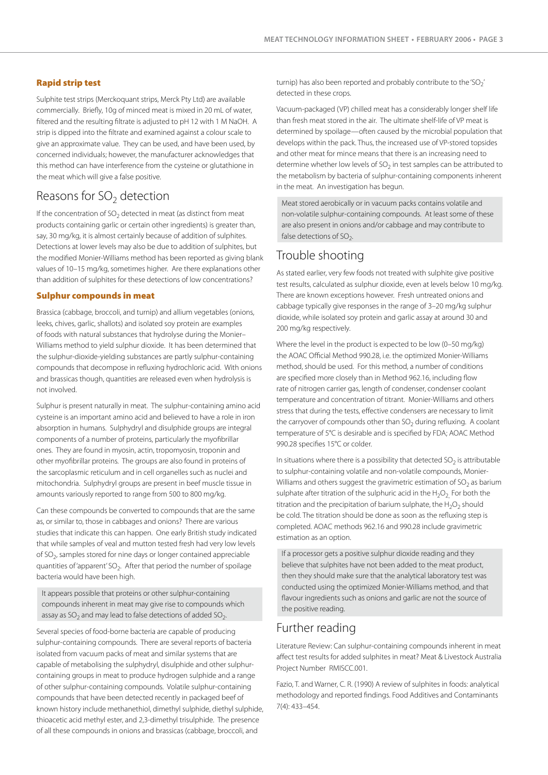#### Rapid strip test

Sulphite test strips (Merckoquant strips, Merck Pty Ltd) are available commercially. Briefly, 10g of minced meat is mixed in 20 mL of water, filtered and the resulting filtrate is adjusted to pH 12 with 1 M NaOH. A strip is dipped into the filtrate and examined against a colour scale to give an approximate value. They can be used, and have been used, by concerned individuals; however, the manufacturer acknowledges that this method can have interference from the cysteine or glutathione in the meat which will give a false positive.

### Reasons for  $SO<sub>2</sub>$  detection

If the concentration of  $SO<sub>2</sub>$  detected in meat (as distinct from meat products containing garlic or certain other ingredients) is greater than, say, 30 mg/kg, it is almost certainly because of addition of sulphites. Detections at lower levels may also be due to addition of sulphites, but the modified Monier-Williams method has been reported as giving blank values of 10–15 mg/kg, sometimes higher. Are there explanations other than addition of sulphites for these detections of low concentrations?

#### Sulphur compounds in meat

Brassica (cabbage, broccoli, and turnip) and allium vegetables (onions, leeks, chives, garlic, shallots) and isolated soy protein are examples of foods with natural substances that hydrolyse during the Monier– Williams method to yield sulphur dioxide. It has been determined that the sulphur-dioxide-yielding substances are partly sulphur-containing compounds that decompose in refluxing hydrochloric acid. With onions and brassicas though, quantities are released even when hydrolysis is not involved.

Sulphur is present naturally in meat. The sulphur-containing amino acid cysteine is an important amino acid and believed to have a role in iron absorption in humans. Sulphydryl and disulphide groups are integral components of a number of proteins, particularly the myofibrillar ones. They are found in myosin, actin, tropomyosin, troponin and other myofibrillar proteins. The groups are also found in proteins of the sarcoplasmic reticulum and in cell organelles such as nuclei and mitochondria. Sulphydryl groups are present in beef muscle tissue in amounts variously reported to range from 500 to 800 mg/kg.

Can these compounds be converted to compounds that are the same as, or similar to, those in cabbages and onions? There are various studies that indicate this can happen. One early British study indicated that while samples of veal and mutton tested fresh had very low levels of  $SO<sub>2</sub>$ , samples stored for nine days or longer contained appreciable quantities of 'apparent' SO<sub>2</sub>. After that period the number of spoilage bacteria would have been high.

It appears possible that proteins or other sulphur-containing compounds inherent in meat may give rise to compounds which assay as  $SO<sub>2</sub>$  and may lead to false detections of added  $SO<sub>2</sub>$ .

Several species of food-borne bacteria are capable of producing sulphur-containing compounds. There are several reports of bacteria isolated from vacuum packs of meat and similar systems that are capable of metabolising the sulphydryl, disulphide and other sulphurcontaining groups in meat to produce hydrogen sulphide and a range of other sulphur-containing compounds. Volatile sulphur-containing compounds that have been detected recently in packaged beef of known history include methanethiol, dimethyl sulphide, diethyl sulphide, thioacetic acid methyl ester, and 2,3-dimethyl trisulphide. The presence of all these compounds in onions and brassicas (cabbage, broccoli, and

turnip) has also been reported and probably contribute to the 'SO<sub>2</sub>' detected in these crops.

Vacuum-packaged (VP) chilled meat has a considerably longer shelf life than fresh meat stored in the air. The ultimate shelf-life of VP meat is determined by spoilage—often caused by the microbial population that develops within the pack. Thus, the increased use of VP-stored topsides and other meat for mince means that there is an increasing need to determine whether low levels of  $SO<sub>2</sub>$  in test samples can be attributed to the metabolism by bacteria of sulphur-containing components inherent in the meat. An investigation has begun.

Meat stored aerobically or in vacuum packs contains volatile and non-volatile sulphur-containing compounds. At least some of these are also present in onions and/or cabbage and may contribute to false detections of  $SO<sub>2</sub>$ .

#### Trouble shooting

As stated earlier, very few foods not treated with sulphite give positive test results, calculated as sulphur dioxide, even at levels below 10 mg/kg. There are known exceptions however. Fresh untreated onions and cabbage typically give responses in the range of 3–20 mg/kg sulphur dioxide, while isolated soy protein and garlic assay at around 30 and 200 mg/kg respectively.

Where the level in the product is expected to be low (0–50 mg/kg) the AOAC Official Method 990.28, i.e. the optimized Monier-Williams method, should be used. For this method, a number of conditions are specified more closely than in Method 962.16, including flow rate of nitrogen carrier gas, length of condenser, condenser coolant temperature and concentration of titrant. Monier-Williams and others stress that during the tests, effective condensers are necessary to limit the carryover of compounds other than  $SO<sub>2</sub>$  during refluxing. A coolant temperature of 5°C is desirable and is specified by FDA; AOAC Method 990.28 specifies 15°C or colder.

In situations where there is a possibility that detected  $SO<sub>2</sub>$  is attributable to sulphur-containing volatile and non-volatile compounds, Monier-Williams and others suggest the gravimetric estimation of  $SO<sub>2</sub>$  as barium sulphate after titration of the sulphuric acid in the  $H_2O_2$ . For both the titration and the precipitation of barium sulphate, the  $H_2O_2$  should be cold. The titration should be done as soon as the refluxing step is completed. AOAC methods 962.16 and 990.28 include gravimetric estimation as an option.

If a processor gets a positive sulphur dioxide reading and they believe that sulphites have not been added to the meat product, then they should make sure that the analytical laboratory test was conducted using the optimized Monier-Williams method, and that flavour ingredients such as onions and garlic are not the source of the positive reading.

#### Further reading

Literature Review: Can sulphur-containing compounds inherent in meat affect test results for added sulphites in meat? Meat & Livestock Australia Project Number RMISCC.001.

Fazio, T. and Warner, C. R. (1990) A review of sulphites in foods: analytical methodology and reported findings. Food Additives and Contaminants 7(4): 433–454.